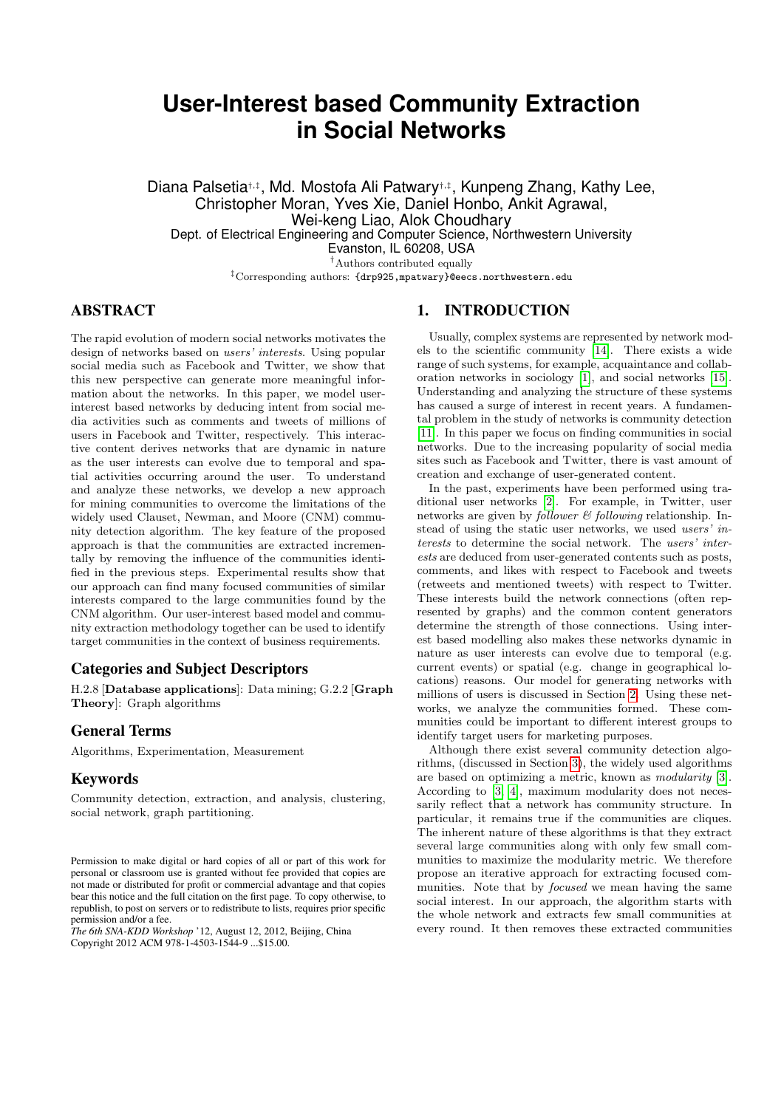# <span id="page-0-0"></span>**User-Interest based Community Extraction in Social Networks**

Diana Palsetia‡‡, Md. Mostofa Ali Patwary<sup>†,‡</sup>, Kunpeng Zhang, Kathy Lee, Christopher Moran, Yves Xie, Daniel Honbo, Ankit Agrawal, Wei-keng Liao, Alok Choudhary Dept. of Electrical Engineering and Computer Science, Northwestern University Evanston, IL 60208, USA <sup>†</sup>Authors contributed equally

‡Corresponding authors: {drp925,mpatwary}@eecs.northwestern.edu

## ABSTRACT

The rapid evolution of modern social networks motivates the design of networks based on users' interests. Using popular social media such as Facebook and Twitter, we show that this new perspective can generate more meaningful information about the networks. In this paper, we model userinterest based networks by deducing intent from social media activities such as comments and tweets of millions of users in Facebook and Twitter, respectively. This interactive content derives networks that are dynamic in nature as the user interests can evolve due to temporal and spatial activities occurring around the user. To understand and analyze these networks, we develop a new approach for mining communities to overcome the limitations of the widely used Clauset, Newman, and Moore (CNM) community detection algorithm. The key feature of the proposed approach is that the communities are extracted incrementally by removing the influence of the communities identified in the previous steps. Experimental results show that our approach can find many focused communities of similar interests compared to the large communities found by the CNM algorithm. Our user-interest based model and community extraction methodology together can be used to identify target communities in the context of business requirements.

## Categories and Subject Descriptors

H.2.8 [Database applications]: Data mining; G.2.2 [Graph Theory]: Graph algorithms

### General Terms

Algorithms, Experimentation, Measurement

### Keywords

Community detection, extraction, and analysis, clustering, social network, graph partitioning.

*The 6th SNA-KDD Workshop* '12, August 12, 2012, Beijing, China Copyright 2012 ACM 978-1-4503-1544-9 ...\$15.00.

#### 1. INTRODUCTION

Usually, complex systems are represented by network models to the scientific community [\[14\]](#page-4-0). There exists a wide range of such systems, for example, acquaintance and collaboration networks in sociology [\[1\]](#page-4-1), and social networks [\[15\]](#page-4-2). Understanding and analyzing the structure of these systems has caused a surge of interest in recent years. A fundamental problem in the study of networks is community detection [\[11\]](#page-4-3). In this paper we focus on finding communities in social networks. Due to the increasing popularity of social media sites such as Facebook and Twitter, there is vast amount of creation and exchange of user-generated content.

In the past, experiments have been performed using traditional user networks [\[2\]](#page-4-4). For example, in Twitter, user networks are given by *follower*  $\mathcal{B}$  *following* relationship. Instead of using the static user networks, we used users' interests to determine the social network. The users' interests are deduced from user-generated contents such as posts, comments, and likes with respect to Facebook and tweets (retweets and mentioned tweets) with respect to Twitter. These interests build the network connections (often represented by graphs) and the common content generators determine the strength of those connections. Using interest based modelling also makes these networks dynamic in nature as user interests can evolve due to temporal (e.g. current events) or spatial (e.g. change in geographical locations) reasons. Our model for generating networks with millions of users is discussed in Section [2.](#page-1-0) Using these networks, we analyze the communities formed. These communities could be important to different interest groups to identify target users for marketing purposes.

Although there exist several community detection algorithms, (discussed in Section [3\)](#page-1-1), the widely used algorithms are based on optimizing a metric, known as modularity [\[3\]](#page-4-5). According to [\[3,](#page-4-5) [4\]](#page-4-6), maximum modularity does not necessarily reflect that a network has community structure. In particular, it remains true if the communities are cliques. The inherent nature of these algorithms is that they extract several large communities along with only few small communities to maximize the modularity metric. We therefore propose an iterative approach for extracting focused communities. Note that by *focused* we mean having the same social interest. In our approach, the algorithm starts with the whole network and extracts few small communities at every round. It then removes these extracted communities

Permission to make digital or hard copies of all or part of this work for personal or classroom use is granted without fee provided that copies are not made or distributed for profit or commercial advantage and that copies bear this notice and the full citation on the first page. To copy otherwise, to republish, to post on servers or to redistribute to lists, requires prior specific permission and/or a fee.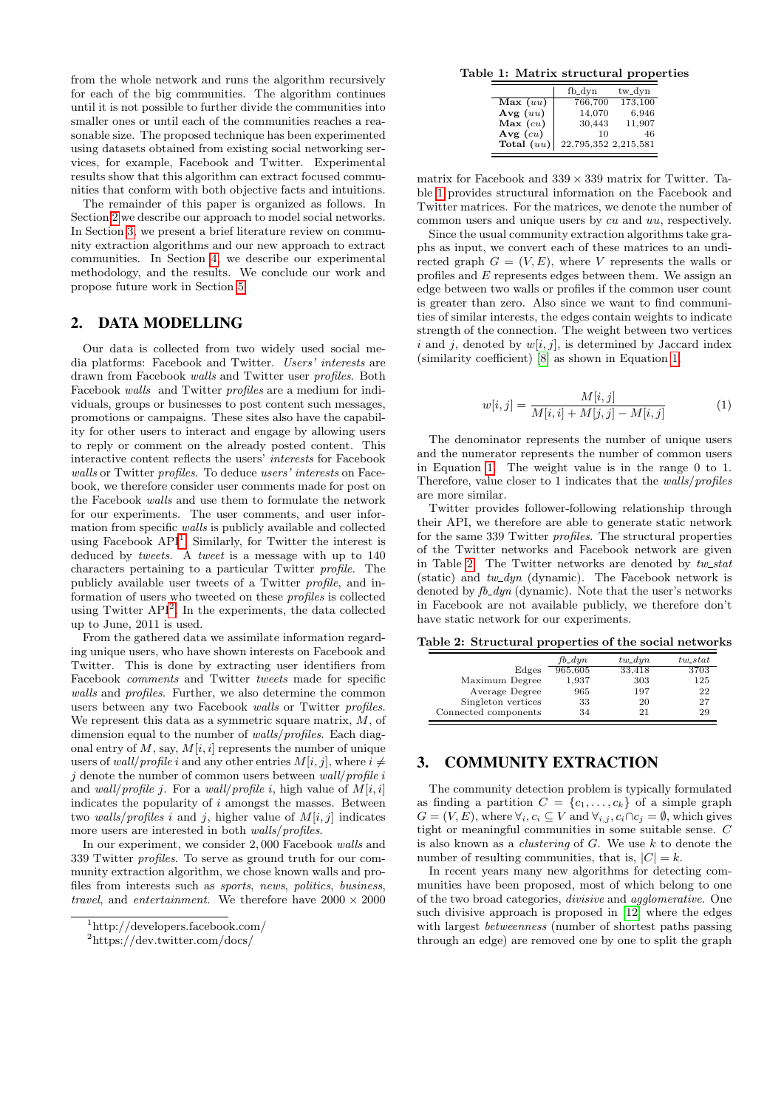from the whole network and runs the algorithm recursively for each of the big communities. The algorithm continues until it is not possible to further divide the communities into smaller ones or until each of the communities reaches a reasonable size. The proposed technique has been experimented using datasets obtained from existing social networking services, for example, Facebook and Twitter. Experimental results show that this algorithm can extract focused communities that conform with both objective facts and intuitions.

The remainder of this paper is organized as follows. In Section [2](#page-1-0) we describe our approach to model social networks. In Section [3,](#page-1-1) we present a brief literature review on community extraction algorithms and our new approach to extract communities. In Section [4,](#page-3-0) we describe our experimental methodology, and the results. We conclude our work and propose future work in Section [5.](#page-4-7)

### <span id="page-1-0"></span>2. DATA MODELLING

Our data is collected from two widely used social media platforms: Facebook and Twitter. Users' interests are drawn from Facebook walls and Twitter user profiles. Both Facebook walls and Twitter profiles are a medium for individuals, groups or businesses to post content such messages, promotions or campaigns. These sites also have the capability for other users to interact and engage by allowing users to reply or comment on the already posted content. This interactive content reflects the users' interests for Facebook walls or Twitter profiles. To deduce users' interests on Facebook, we therefore consider user comments made for post on the Facebook walls and use them to formulate the network for our experiments. The user comments, and user information from specific walls is publicly available and collected using Facebook  $API<sup>1</sup>$  $API<sup>1</sup>$  $API<sup>1</sup>$ . Similarly, for Twitter the interest is deduced by *tweets*. A *tweet* is a message with up to 140 characters pertaining to a particular Twitter profile. The publicly available user tweets of a Twitter profile, and information of users who tweeted on these profiles is collected using Twitter API[2](#page-0-0) . In the experiments, the data collected up to June, 2011 is used.

From the gathered data we assimilate information regarding unique users, who have shown interests on Facebook and Twitter. This is done by extracting user identifiers from Facebook comments and Twitter tweets made for specific walls and profiles. Further, we also determine the common users between any two Facebook walls or Twitter profiles. We represent this data as a symmetric square matrix,  $M$ , of dimension equal to the number of *walls/profiles*. Each diagonal entry of  $M$ , say,  $M[i, i]$  represents the number of unique users of *wall/profile i* and any other entries  $M[i, j]$ , where  $i \neq$  $j$  denote the number of common users between  $wall/profile$  i and wall/profile j. For a wall/profile i, high value of  $M[i, i]$ indicates the popularity of  $i$  amongst the masses. Between two walls/profiles i and j, higher value of  $M[i, j]$  indicates more users are interested in both walls/profiles.

In our experiment, we consider 2, 000 Facebook walls and 339 Twitter profiles. To serve as ground truth for our community extraction algorithm, we chose known walls and profiles from interests such as sports, news, politics, business, travel, and entertainment. We therefore have  $2000 \times 2000$ 

<span id="page-1-2"></span>Table 1: Matrix structural properties

|              | fb_dyn               | tw_dyn  |
|--------------|----------------------|---------|
| Max(uu)      | 766,700              | 173,100 |
| Avg $(uu)$   | 14,070               | 6,946   |
| $Max$ (cu)   | 30,443               | 11,907  |
| Avg $(cu)$   | 10                   | 46      |
| Total $(uu)$ | 22,795,352 2,215,581 |         |

matrix for Facebook and  $339 \times 339$  matrix for Twitter. Table [1](#page-1-2) provides structural information on the Facebook and Twitter matrices. For the matrices, we denote the number of common users and unique users by cu and uu, respectively.

Since the usual community extraction algorithms take graphs as input, we convert each of these matrices to an undirected graph  $G = (V, E)$ , where V represents the walls or profiles and E represents edges between them. We assign an edge between two walls or profiles if the common user count is greater than zero. Also since we want to find communities of similar interests, the edges contain weights to indicate strength of the connection. The weight between two vertices i and j, denoted by  $w[i, j]$ , is determined by Jaccard index (similarity coefficient) [\[8\]](#page-4-8) as shown in Equation [1.](#page-1-3)

<span id="page-1-3"></span>
$$
w[i,j] = \frac{M[i,j]}{M[i,i] + M[j,j] - M[i,j]}
$$
 (1)

The denominator represents the number of unique users and the numerator represents the number of common users in Equation [1.](#page-1-3) The weight value is in the range 0 to 1. Therefore, value closer to 1 indicates that the walls/profiles are more similar.

Twitter provides follower-following relationship through their API, we therefore are able to generate static network for the same 339 Twitter profiles. The structural properties of the Twitter networks and Facebook network are given in Table [2.](#page-1-4) The Twitter networks are denoted by  $tw\_stat$ (static) and  $tw\_dyn$  (dynamic). The Facebook network is denoted by  $fb\_dyn$  (dynamic). Note that the user's networks in Facebook are not available publicly, we therefore don't have static network for our experiments.

<span id="page-1-4"></span>Table 2: Structural properties of the social networks

|                      | $fb\_dyn$ | $tw\_dyn$ | $tw\_stat$ |
|----------------------|-----------|-----------|------------|
| Edges                | 965,605   | 33.418    | 3703       |
| Maximum Degree       | 1,937     | 303       | 125        |
| Average Degree       | 965       | 197       | 22         |
| Singleton vertices   | 33        | 20        | 27         |
| Connected components | 34        | 21        | 29         |

## <span id="page-1-1"></span>3. COMMUNITY EXTRACTION

The community detection problem is typically formulated as finding a partition  $C = \{c_1, \ldots, c_k\}$  of a simple graph  $G = (V, \widetilde{E})$ , where  $\forall_i, c_i \subseteq V$  and  $\forall_{i,j}, c_i \cap c_j = \emptyset$ , which gives tight or meaningful communities in some suitable sense. C is also known as a *clustering* of  $G$ . We use  $k$  to denote the number of resulting communities, that is,  $|C| = k$ .

In recent years many new algorithms for detecting communities have been proposed, most of which belong to one of the two broad categories, divisive and agglomerative. One such divisive approach is proposed in [\[12\]](#page-4-9) where the edges with largest *betweenness* (number of shortest paths passing through an edge) are removed one by one to split the graph

<sup>1</sup>http://developers.facebook.com/

<sup>2</sup>https://dev.twitter.com/docs/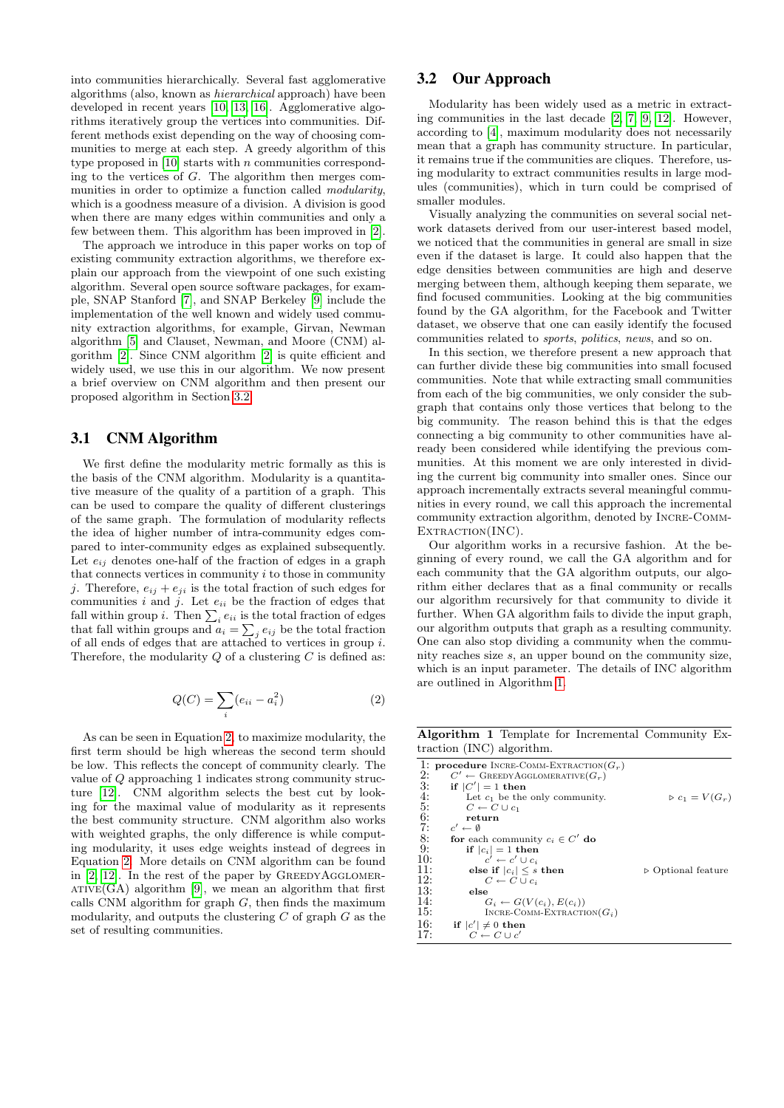into communities hierarchically. Several fast agglomerative algorithms (also, known as hierarchical approach) have been developed in recent years [\[10,](#page-4-10) [13,](#page-4-11) [16\]](#page-4-12). Agglomerative algorithms iteratively group the vertices into communities. Different methods exist depending on the way of choosing communities to merge at each step. A greedy algorithm of this type proposed in  $[10]$  starts with n communities corresponding to the vertices of  $G$ . The algorithm then merges communities in order to optimize a function called *modularity*, which is a goodness measure of a division. A division is good when there are many edges within communities and only a few between them. This algorithm has been improved in [\[2\]](#page-4-4).

The approach we introduce in this paper works on top of existing community extraction algorithms, we therefore explain our approach from the viewpoint of one such existing algorithm. Several open source software packages, for example, SNAP Stanford [\[7\]](#page-4-13), and SNAP Berkeley [\[9\]](#page-4-14) include the implementation of the well known and widely used community extraction algorithms, for example, Girvan, Newman algorithm [\[5\]](#page-4-15) and Clauset, Newman, and Moore (CNM) algorithm [\[2\]](#page-4-4). Since CNM algorithm [\[2\]](#page-4-4) is quite efficient and widely used, we use this in our algorithm. We now present a brief overview on CNM algorithm and then present our proposed algorithm in Section [3.2.](#page-2-0)

### 3.1 CNM Algorithm

We first define the modularity metric formally as this is the basis of the CNM algorithm. Modularity is a quantitative measure of the quality of a partition of a graph. This can be used to compare the quality of different clusterings of the same graph. The formulation of modularity reflects the idea of higher number of intra-community edges compared to inter-community edges as explained subsequently. Let  $e_{ij}$  denotes one-half of the fraction of edges in a graph that connects vertices in community  $i$  to those in community j. Therefore,  $e_{ij} + e_{ji}$  is the total fraction of such edges for communities i and j. Let  $e_{ii}$  be the fraction of edges that fall within group *i*. Then  $\sum_i e_{ii}$  is the total fraction of edges that fall within groups and  $a_i = \sum_j e_{ij}$  be the total fraction of all ends of edges that are attached to vertices in group  $i$ . Therefore, the modularity  $Q$  of a clustering  $C$  is defined as:

<span id="page-2-1"></span>
$$
Q(C) = \sum_{i} (e_{ii} - a_i^2) \tag{2}
$$

As can be seen in Equation [2,](#page-2-1) to maximize modularity, the first term should be high whereas the second term should be low. This reflects the concept of community clearly. The value of Q approaching 1 indicates strong community structure [\[12\]](#page-4-9). CNM algorithm selects the best cut by looking for the maximal value of modularity as it represents the best community structure. CNM algorithm also works with weighted graphs, the only difference is while computing modularity, it uses edge weights instead of degrees in Equation [2.](#page-2-1) More details on CNM algorithm can be found in  $[2, 12]$  $[2, 12]$ . In the rest of the paper by GREEDYAGGLOMER- $ATIVE(GA)$  algorithm [\[9\]](#page-4-14), we mean an algorithm that first calls CNM algorithm for graph  $G$ , then finds the maximum modularity, and outputs the clustering  $C$  of graph  $G$  as the set of resulting communities.

## <span id="page-2-0"></span>3.2 Our Approach

Modularity has been widely used as a metric in extracting communities in the last decade [\[2,](#page-4-4) [7,](#page-4-13) [9,](#page-4-14) [12\]](#page-4-9). However, according to [\[4\]](#page-4-6), maximum modularity does not necessarily mean that a graph has community structure. In particular, it remains true if the communities are cliques. Therefore, using modularity to extract communities results in large modules (communities), which in turn could be comprised of smaller modules.

Visually analyzing the communities on several social network datasets derived from our user-interest based model, we noticed that the communities in general are small in size even if the dataset is large. It could also happen that the edge densities between communities are high and deserve merging between them, although keeping them separate, we find focused communities. Looking at the big communities found by the GA algorithm, for the Facebook and Twitter dataset, we observe that one can easily identify the focused communities related to sports, politics, news, and so on.

In this section, we therefore present a new approach that can further divide these big communities into small focused communities. Note that while extracting small communities from each of the big communities, we only consider the subgraph that contains only those vertices that belong to the big community. The reason behind this is that the edges connecting a big community to other communities have already been considered while identifying the previous communities. At this moment we are only interested in dividing the current big community into smaller ones. Since our approach incrementally extracts several meaningful communities in every round, we call this approach the incremental community extraction algorithm, denoted by Incre-Comm-EXTRACTION(INC).

Our algorithm works in a recursive fashion. At the beginning of every round, we call the GA algorithm and for each community that the GA algorithm outputs, our algorithm either declares that as a final community or recalls our algorithm recursively for that community to divide it further. When GA algorithm fails to divide the input graph, our algorithm outputs that graph as a resulting community. One can also stop dividing a community when the community reaches size s, an upper bound on the community size, which is an input parameter. The details of INC algorithm are outlined in Algorithm [1.](#page-2-2)

Algorithm 1 Template for Incremental Community Extraction (INC) algorithm.

<span id="page-2-2"></span>

|     | 1: <b>procedure</b> INCRE-COMM-EXTRACTION( $G_r$ ) |                                   |
|-----|----------------------------------------------------|-----------------------------------|
| 2:  | $C' \leftarrow$ GREEDY AGGLOMERATIVE $(G_r)$       |                                   |
| 3:  | if $ C'  = 1$ then                                 |                                   |
| 4:  | Let $c_1$ be the only community.                   | $\triangleright c_1 = V(G_r)$     |
| 5:  | $C \leftarrow C \cup c_1$                          |                                   |
| 6:  | return                                             |                                   |
| 7:  | $c' \leftarrow \emptyset$                          |                                   |
| 8:  | for each community $c_i \in C'$ do                 |                                   |
| 9:  | if $ c_i =1$ then                                  |                                   |
| 10: | $c' \leftarrow c' \cup c_i$                        |                                   |
| 11: | else if $ c_i  \leq s$ then                        | $\triangleright$ Optional feature |
| 12: | $C \leftarrow C \cup c_i$                          |                                   |
| 13: | else                                               |                                   |
| 14: | $G_i \leftarrow G(V(c_i), E(c_i))$                 |                                   |
| 15: | INCRE-COMM-EXTRACTION $(G_i)$                      |                                   |
| 16: | if $ c'  \neq 0$ then                              |                                   |
| 17: | $C \leftarrow C \sqcup c'$                         |                                   |
|     |                                                    |                                   |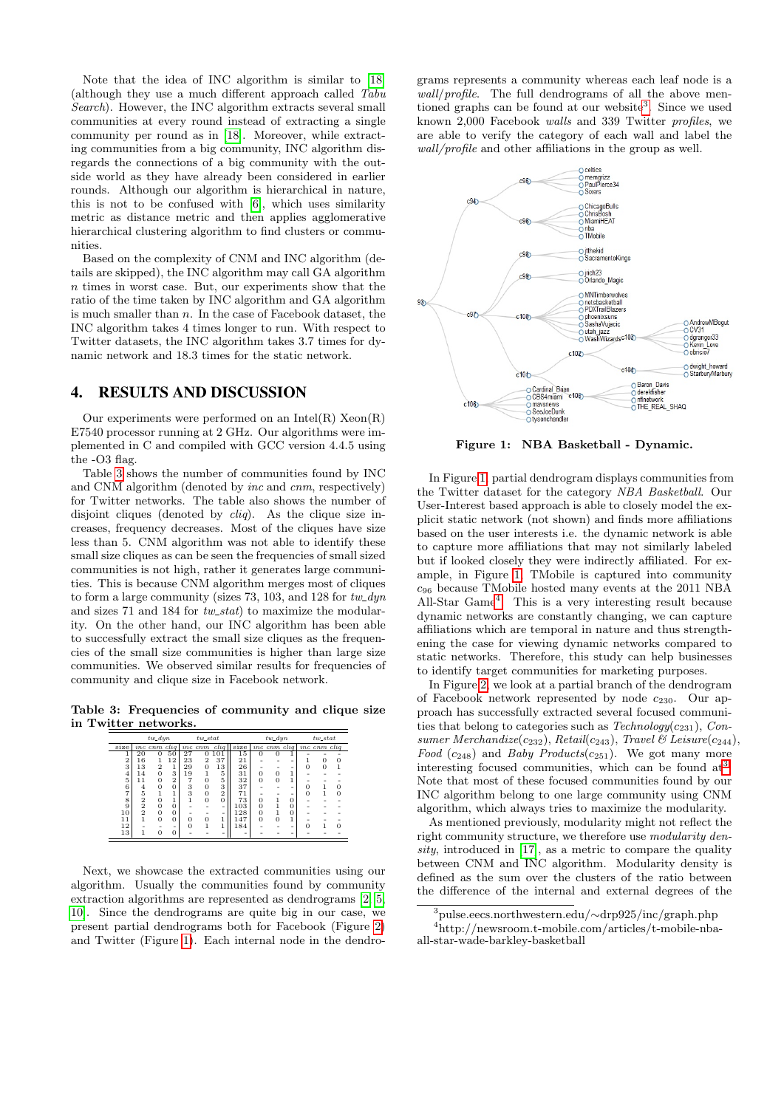Note that the idea of INC algorithm is similar to [\[18\]](#page-4-16) (although they use a much different approach called Tabu Search). However, the INC algorithm extracts several small communities at every round instead of extracting a single community per round as in [\[18\]](#page-4-16). Moreover, while extracting communities from a big community, INC algorithm disregards the connections of a big community with the outside world as they have already been considered in earlier rounds. Although our algorithm is hierarchical in nature, this is not to be confused with [\[6\]](#page-4-17), which uses similarity metric as distance metric and then applies agglomerative hierarchical clustering algorithm to find clusters or communities.

Based on the complexity of CNM and INC algorithm (details are skipped), the INC algorithm may call GA algorithm n times in worst case. But, our experiments show that the ratio of the time taken by INC algorithm and GA algorithm is much smaller than  $n$ . In the case of Facebook dataset, the INC algorithm takes 4 times longer to run. With respect to Twitter datasets, the INC algorithm takes 3.7 times for dynamic network and 18.3 times for the static network.

### <span id="page-3-0"></span>4. RESULTS AND DISCUSSION

Our experiments were performed on an Intel $(R)$  Xeon $(R)$ E7540 processor running at 2 GHz. Our algorithms were implemented in C and compiled with GCC version 4.4.5 using the -O3 flag.

Table [3](#page-3-1) shows the number of communities found by INC and CNM algorithm (denoted by inc and cnm, respectively) for Twitter networks. The table also shows the number of disjoint cliques (denoted by *cliq*). As the clique size increases, frequency decreases. Most of the cliques have size less than 5. CNM algorithm was not able to identify these small size cliques as can be seen the frequencies of small sized communities is not high, rather it generates large communities. This is because CNM algorithm merges most of cliques to form a large community (sizes 73, 103, and 128 for  $tw\_dyn$ and sizes 71 and 184 for  $tw\_stat$ ) to maximize the modularity. On the other hand, our INC algorithm has been able to successfully extract the small size cliques as the frequencies of the small size communities is higher than large size communities. We observed similar results for frequencies of community and clique size in Facebook network.

<span id="page-3-1"></span>Table 3: Frequencies of community and clique size in Twitter networks.

|                | $tw\_dyn$      |                      | $tw\_stat$     |          |                | $tw\_dyn$      |                                | $tw\_stat$     |          |                |          |              |          |
|----------------|----------------|----------------------|----------------|----------|----------------|----------------|--------------------------------|----------------|----------|----------------|----------|--------------|----------|
| size           |                | inc cnm cliq inc cnm |                |          |                | clia           | size inc cum cliq inc cum cliq |                |          |                |          |              |          |
|                | 20             | $\Omega$             | 50             | 27       | 0              | 101            | 15                             | $\Omega$       | $\Omega$ | 1              |          |              |          |
| $\overline{2}$ | 16             |                      | 12             | 23       | 2              | 37             | 21                             |                |          | ۰              |          | $\mathbf{0}$ | 0        |
| 3              | 13             | $\overline{2}$       | $\mathbf{1}$   | 29       | $\overline{0}$ | 13             | 26                             |                |          | ۰              | 0        | $\mathbf{0}$ |          |
| $\overline{4}$ | 14             | $\overline{0}$       | 3              | 19       |                | 5              | 31                             | $\overline{0}$ | 0        | 1              |          |              |          |
| 5              | 11             | 0                    | $\overline{2}$ |          | $\overline{0}$ | 5              | 32                             | $\Omega$       | $\Omega$ | $\overline{1}$ |          |              |          |
| 6              | $\frac{4}{5}$  | $\Omega$             | $\overline{0}$ | 3        | $\overline{0}$ | 3              | 37                             |                |          | ۰              | $\Omega$ |              |          |
| 7              |                |                      | $\overline{1}$ | 3        | $\overline{0}$ | $\overline{2}$ | 71                             |                |          | ۰              | $\Omega$ |              |          |
| 8              | $\frac{2}{2}$  | $\overline{0}$       | $\mathbf{1}$   |          | $\overline{0}$ | $\overline{0}$ | 73                             | $\overline{0}$ |          | $\overline{0}$ |          |              |          |
| 9              |                | 0                    | 0              |          |                | ۰              | 103                            | $\overline{0}$ |          | $\overline{0}$ |          |              |          |
| 10             | $\overline{2}$ | 0                    | $\overline{0}$ |          |                |                | 128                            | $\overline{0}$ | 1        | $\overline{0}$ |          |              |          |
| 11             | 1              | $\Omega$             | $\overline{0}$ | 0        | 0              |                | 147                            | $\Omega$       | $\Omega$ | $\overline{1}$ |          |              |          |
| 12             |                |                      | ۰              | $\Omega$ |                |                | 184                            |                |          | ۰              | $\Omega$ |              | $\Omega$ |
| 13             | 1              | $\Omega$             | 0              |          |                |                | ۰                              |                |          |                |          |              |          |

Next, we showcase the extracted communities using our algorithm. Usually the communities found by community extraction algorithms are represented as dendrograms [\[2,](#page-4-4) [5,](#page-4-15) [10\]](#page-4-10). Since the dendrograms are quite big in our case, we present partial dendrograms both for Facebook (Figure [2\)](#page-4-18) and Twitter (Figure [1\)](#page-3-2). Each internal node in the dendro-

grams represents a community whereas each leaf node is a wall/profile. The full dendrograms of all the above men-tioned graphs can be found at our website<sup>[3](#page-0-0)</sup>. Since we used known 2,000 Facebook walls and 339 Twitter profiles, we are able to verify the category of each wall and label the wall/profile and other affiliations in the group as well.



<span id="page-3-2"></span>Figure 1: NBA Basketball - Dynamic.

In Figure [1,](#page-3-2) partial dendrogram displays communities from the Twitter dataset for the category NBA Basketball. Our User-Interest based approach is able to closely model the explicit static network (not shown) and finds more affiliations based on the user interests i.e. the dynamic network is able to capture more affiliations that may not similarly labeled but if looked closely they were indirectly affiliated. For example, in Figure [1,](#page-3-2) TMobile is captured into community c<sup>96</sup> because TMobile hosted many events at the 2011 NBA All-Star Game[4](#page-0-0) . This is a very interesting result because dynamic networks are constantly changing, we can capture affiliations which are temporal in nature and thus strengthening the case for viewing dynamic networks compared to static networks. Therefore, this study can help businesses to identify target communities for marketing purposes.

In Figure [2,](#page-4-18) we look at a partial branch of the dendrogram of Facebook network represented by node  $c_{230}$ . Our approach has successfully extracted several focused communities that belong to categories such as  $Technology(c_{231})$ , Consumer Merchandize( $c_{232}$ ), Retail( $c_{243}$ ), Travel & Leisure( $c_{244}$ ), Food  $(c_{248})$  and Baby Products $(c_{251})$ . We got many more interesting focused communities, which can be found at<sup>[3](#page-0-0)</sup>. Note that most of these focused communities found by our INC algorithm belong to one large community using CNM algorithm, which always tries to maximize the modularity.

As mentioned previously, modularity might not reflect the right community structure, we therefore use modularity density, introduced in  $[17]$ , as a metric to compare the quality between CNM and INC algorithm. Modularity density is defined as the sum over the clusters of the ratio between the difference of the internal and external degrees of the

<sup>3</sup>pulse.eecs.northwestern.edu/∼drp925/inc/graph.php

<sup>4</sup>http://newsroom.t-mobile.com/articles/t-mobile-nbaall-star-wade-barkley-basketball